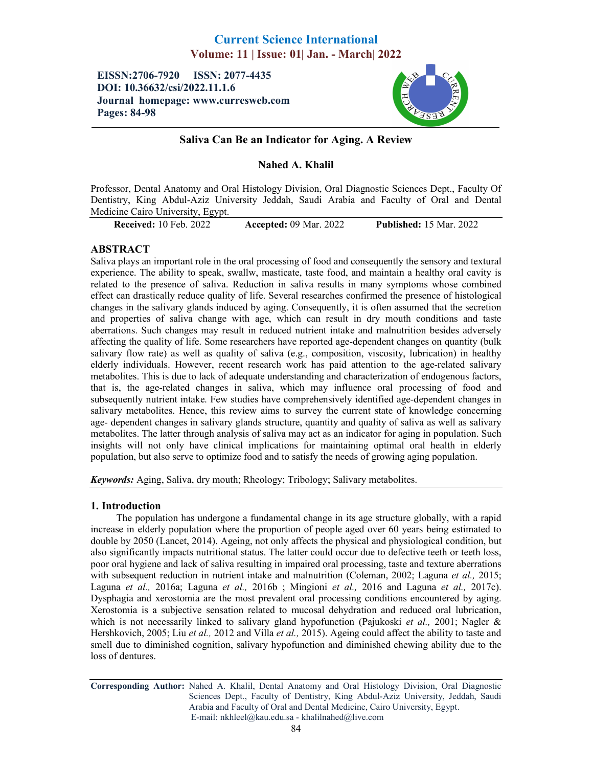# Current Science International Volume: 11 | Issue: 01| Jan. - March| 2022

EISSN:2706-7920 ISSN: 2077-4435 DOI: 10.36632/csi/2022.11.1.6 Journal homepage: www.curresweb.com Pages: 84-98



# Saliva Can Be an Indicator for Aging. A Review

# Nahed A. Khalil

Professor, Dental Anatomy and Oral Histology Division, Oral Diagnostic Sciences Dept., Faculty Of Dentistry, King Abdul-Aziz University Jeddah, Saudi Arabia and Faculty of Oral and Dental Medicine Cairo University, Egypt.

Received: 10 Feb. 2022 Accepted: 09 Mar. 2022 Published: 15 Mar. 2022

# ABSTRACT

Saliva plays an important role in the oral processing of food and consequently the sensory and textural experience. The ability to speak, swallw, masticate, taste food, and maintain a healthy oral cavity is related to the presence of saliva. Reduction in saliva results in many symptoms whose combined effect can drastically reduce quality of life. Several researches confirmed the presence of histological changes in the salivary glands induced by aging. Consequently, it is often assumed that the secretion and properties of saliva change with age, which can result in dry mouth conditions and taste aberrations. Such changes may result in reduced nutrient intake and malnutrition besides adversely affecting the quality of life. Some researchers have reported age-dependent changes on quantity (bulk salivary flow rate) as well as quality of saliva (e.g., composition, viscosity, lubrication) in healthy elderly individuals. However, recent research work has paid attention to the age-related salivary metabolites. This is due to lack of adequate understanding and characterization of endogenous factors, that is, the age-related changes in saliva, which may influence oral processing of food and subsequently nutrient intake. Few studies have comprehensively identified age-dependent changes in salivary metabolites. Hence, this review aims to survey the current state of knowledge concerning age- dependent changes in salivary glands structure, quantity and quality of saliva as well as salivary metabolites. The latter through analysis of saliva may act as an indicator for aging in population. Such insights will not only have clinical implications for maintaining optimal oral health in elderly population, but also serve to optimize food and to satisfy the needs of growing aging population.

*Keywords:* Aging, Saliva, dry mouth; Rheology; Tribology; Salivary metabolites.

## 1. Introduction

The population has undergone a fundamental change in its age structure globally, with a rapid increase in elderly population where the proportion of people aged over 60 years being estimated to double by 2050 (Lancet, 2014). Ageing, not only affects the physical and physiological condition, but also significantly impacts nutritional status. The latter could occur due to defective teeth or teeth loss, poor oral hygiene and lack of saliva resulting in impaired oral processing, taste and texture aberrations with subsequent reduction in nutrient intake and malnutrition (Coleman, 2002; Laguna *et al.,* 2015; Laguna *et al.,* 2016a; Laguna *et al.,* 2016b ; Mingioni *et al.,* 2016 and Laguna *et al.,* 2017c). Dysphagia and xerostomia are the most prevalent oral processing conditions encountered by aging. Xerostomia is a subjective sensation related to mucosal dehydration and reduced oral lubrication, which is not necessarily linked to salivary gland hypofunction (Pajukoski *et al.,* 2001; Nagler & Hershkovich, 2005; Liu *et al.,* 2012 and Villa *et al.,* 2015). Ageing could affect the ability to taste and smell due to diminished cognition, salivary hypofunction and diminished chewing ability due to the loss of dentures.

Corresponding Author: Nahed A. Khalil, Dental Anatomy and Oral Histology Division, Oral Diagnostic Sciences Dept., Faculty of Dentistry, King Abdul-Aziz University, Jeddah, Saudi Arabia and Faculty of Oral and Dental Medicine, Cairo University, Egypt. E-mail: nkhleel@kau.edu.sa - khalilnahed@live.com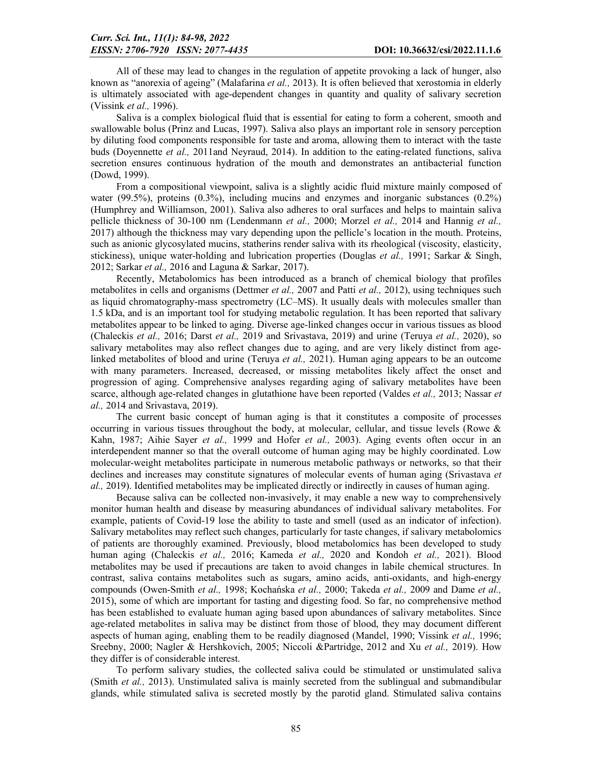All of these may lead to changes in the regulation of appetite provoking a lack of hunger, also known as "anorexia of ageing" (Malafarina *et al.,* 2013). It is often believed that xerostomia in elderly is ultimately associated with age-dependent changes in quantity and quality of salivary secretion (Vissink *et al.,* 1996).

Saliva is a complex biological fluid that is essential for eating to form a coherent, smooth and swallowable bolus (Prinz and Lucas, 1997). Saliva also plays an important role in sensory perception by diluting food components responsible for taste and aroma, allowing them to interact with the taste buds (Doyennette *et al.,* 2011and Neyraud, 2014). In addition to the eating-related functions, saliva secretion ensures continuous hydration of the mouth and demonstrates an antibacterial function (Dowd, 1999).

From a compositional viewpoint, saliva is a slightly acidic fluid mixture mainly composed of water (99.5%), proteins (0.3%), including mucins and enzymes and inorganic substances (0.2%) (Humphrey and Williamson, 2001). Saliva also adheres to oral surfaces and helps to maintain saliva pellicle thickness of 30-100 nm (Lendenmann *et al.,* 2000; Morzel *et al.,* 2014 and Hannig *et al.,*  2017) although the thickness may vary depending upon the pellicle's location in the mouth. Proteins, such as anionic glycosylated mucins, statherins render saliva with its rheological (viscosity, elasticity, stickiness), unique water-holding and lubrication properties (Douglas *et al.,* 1991; Sarkar & Singh, 2012; Sarkar *et al.,* 2016 and Laguna & Sarkar, 2017).

Recently, Metabolomics has been introduced as a branch of chemical biology that profiles metabolites in cells and organisms (Dettmer *et al.,* 2007 and Patti *et al.,* 2012), using techniques such as liquid chromatography-mass spectrometry (LC–MS). It usually deals with molecules smaller than 1.5 kDa, and is an important tool for studying metabolic regulation. It has been reported that salivary metabolites appear to be linked to aging. Diverse age-linked changes occur in various tissues as blood (Chaleckis *et al.,* 2016; Darst *et al.,* 2019 and Srivastava, 2019) and urine (Teruya *et al.,* 2020), so salivary metabolites may also reflect changes due to aging, and are very likely distinct from agelinked metabolites of blood and urine (Teruya *et al.,* 2021). Human aging appears to be an outcome with many parameters. Increased, decreased, or missing metabolites likely affect the onset and progression of aging. Comprehensive analyses regarding aging of salivary metabolites have been scarce, although age-related changes in glutathione have been reported (Valdes *et al.,* 2013; Nassar *et al.,* 2014 and Srivastava, 2019).

The current basic concept of human aging is that it constitutes a composite of processes occurring in various tissues throughout the body, at molecular, cellular, and tissue levels (Rowe & Kahn, 1987; Aihie Sayer *et al.,* 1999 and Hofer *et al.,* 2003). Aging events often occur in an interdependent manner so that the overall outcome of human aging may be highly coordinated. Low molecular-weight metabolites participate in numerous metabolic pathways or networks, so that their declines and increases may constitute signatures of molecular events of human aging (Srivastava *et al.,* 2019). Identified metabolites may be implicated directly or indirectly in causes of human aging.

Because saliva can be collected non-invasively, it may enable a new way to comprehensively monitor human health and disease by measuring abundances of individual salivary metabolites. For example, patients of Covid-19 lose the ability to taste and smell (used as an indicator of infection). Salivary metabolites may reflect such changes, particularly for taste changes, if salivary metabolomics of patients are thoroughly examined. Previously, blood metabolomics has been developed to study human aging (Chaleckis *et al.,* 2016; Kameda *et al.,* 2020 and Kondoh *et al.,* 2021). Blood metabolites may be used if precautions are taken to avoid changes in labile chemical structures. In contrast, saliva contains metabolites such as sugars, amino acids, anti-oxidants, and high-energy compounds (Owen-Smith *et al.,* 1998; Kochańska *et al.,* 2000; Takeda *et al.,* 2009 and Dame *et al.,*  2015), some of which are important for tasting and digesting food. So far, no comprehensive method has been established to evaluate human aging based upon abundances of salivary metabolites. Since age-related metabolites in saliva may be distinct from those of blood, they may document different aspects of human aging, enabling them to be readily diagnosed (Mandel, 1990; Vissink *et al.,* 1996; Sreebny, 2000; Nagler & Hershkovich, 2005; Niccoli &Partridge, 2012 and Xu *et al.,* 2019). How they differ is of considerable interest.

To perform salivary studies, the collected saliva could be stimulated or unstimulated saliva (Smith *et al.,* 2013). Unstimulated saliva is mainly secreted from the sublingual and submandibular glands, while stimulated saliva is secreted mostly by the parotid gland. Stimulated saliva contains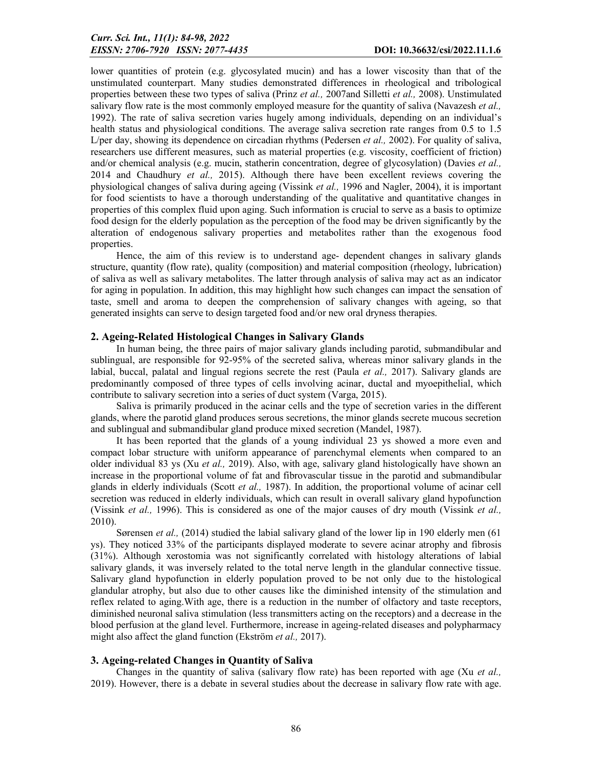lower quantities of protein (e.g. glycosylated mucin) and has a lower viscosity than that of the unstimulated counterpart. Many studies demonstrated differences in rheological and tribological properties between these two types of saliva (Prinz *et al.,* 2007and Silletti *et al.,* 2008). Unstimulated salivary flow rate is the most commonly employed measure for the quantity of saliva (Navazesh *et al.,*  1992). The rate of saliva secretion varies hugely among individuals, depending on an individual's health status and physiological conditions. The average saliva secretion rate ranges from 0.5 to 1.5 L/per day, showing its dependence on circadian rhythms (Pedersen *et al.,* 2002). For quality of saliva, researchers use different measures, such as material properties (e.g. viscosity, coefficient of friction) and/or chemical analysis (e.g. mucin, statherin concentration, degree of glycosylation) (Davies *et al.,*  2014 and Chaudhury *et al.,* 2015). Although there have been excellent reviews covering the physiological changes of saliva during ageing (Vissink *et al.,* 1996 and Nagler, 2004), it is important for food scientists to have a thorough understanding of the qualitative and quantitative changes in properties of this complex fluid upon aging. Such information is crucial to serve as a basis to optimize food design for the elderly population as the perception of the food may be driven significantly by the alteration of endogenous salivary properties and metabolites rather than the exogenous food properties.

Hence, the aim of this review is to understand age- dependent changes in salivary glands structure, quantity (flow rate), quality (composition) and material composition (rheology, lubrication) of saliva as well as salivary metabolites. The latter through analysis of saliva may act as an indicator for aging in population. In addition, this may highlight how such changes can impact the sensation of taste, smell and aroma to deepen the comprehension of salivary changes with ageing, so that generated insights can serve to design targeted food and/or new oral dryness therapies.

## 2. Ageing-Related Histological Changes in Salivary Glands

In human being, the three pairs of major salivary glands including parotid, submandibular and sublingual, are responsible for 92-95% of the secreted saliva, whereas minor salivary glands in the labial, buccal, palatal and lingual regions secrete the rest (Paula *et al.,* 2017). Salivary glands are predominantly composed of three types of cells involving acinar, ductal and myoepithelial, which contribute to salivary secretion into a series of duct system (Varga, 2015).

Saliva is primarily produced in the acinar cells and the type of secretion varies in the different glands, where the parotid gland produces serous secretions, the minor glands secrete mucous secretion and sublingual and submandibular gland produce mixed secretion (Mandel, 1987).

It has been reported that the glands of a young individual 23 ys showed a more even and compact lobar structure with uniform appearance of parenchymal elements when compared to an older individual 83 ys (Xu *et al.,* 2019). Also, with age, salivary gland histologically have shown an increase in the proportional volume of fat and fibrovascular tissue in the parotid and submandibular glands in elderly individuals (Scott *et al.,* 1987). In addition, the proportional volume of acinar cell secretion was reduced in elderly individuals, which can result in overall salivary gland hypofunction (Vissink *et al.,* 1996). This is considered as one of the major causes of dry mouth (Vissink *et al.,*  2010).

Sørensen *et al.*, (2014) studied the labial salivary gland of the lower lip in 190 elderly men (61) ys). They noticed 33% of the participants displayed moderate to severe acinar atrophy and fibrosis (31%). Although xerostomia was not significantly correlated with histology alterations of labial salivary glands, it was inversely related to the total nerve length in the glandular connective tissue. Salivary gland hypofunction in elderly population proved to be not only due to the histological glandular atrophy, but also due to other causes like the diminished intensity of the stimulation and reflex related to aging.With age, there is a reduction in the number of olfactory and taste receptors, diminished neuronal saliva stimulation (less transmitters acting on the receptors) and a decrease in the blood perfusion at the gland level. Furthermore, increase in ageing-related diseases and polypharmacy might also affect the gland function (Ekström *et al.,* 2017).

## 3. Ageing-related Changes in Quantity of Saliva

Changes in the quantity of saliva (salivary flow rate) has been reported with age (Xu *et al.,*  2019). However, there is a debate in several studies about the decrease in salivary flow rate with age.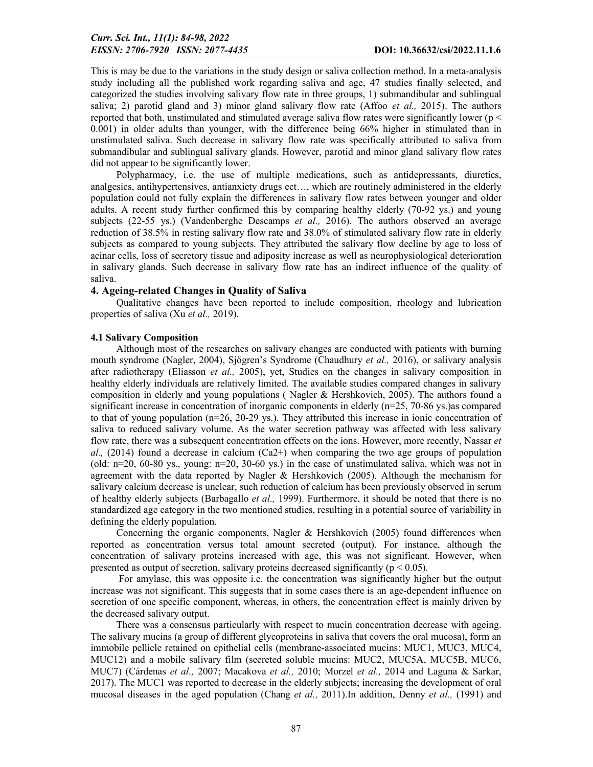This is may be due to the variations in the study design or saliva collection method. In a meta-analysis study including all the published work regarding saliva and age, 47 studies finally selected, and categorized the studies involving salivary flow rate in three groups, 1) submandibular and sublingual saliva; 2) parotid gland and 3) minor gland salivary flow rate (Affoo *et al.,* 2015). The authors reported that both, unstimulated and stimulated average saliva flow rates were significantly lower (p < 0.001) in older adults than younger, with the difference being 66% higher in stimulated than in unstimulated saliva. Such decrease in salivary flow rate was specifically attributed to saliva from submandibular and sublingual salivary glands. However, parotid and minor gland salivary flow rates did not appear to be significantly lower.

Polypharmacy, i.e. the use of multiple medications, such as antidepressants, diuretics, analgesics, antihypertensives, antianxiety drugs ect…, which are routinely administered in the elderly population could not fully explain the differences in salivary flow rates between younger and older adults. A recent study further confirmed this by comparing healthy elderly (70-92 ys.) and young subjects (22-55 ys.) (Vandenberghe Descamps *et al.,* 2016). The authors observed an average reduction of 38.5% in resting salivary flow rate and 38.0% of stimulated salivary flow rate in elderly subjects as compared to young subjects. They attributed the salivary flow decline by age to loss of acinar cells, loss of secretory tissue and adiposity increase as well as neurophysiological deterioration in salivary glands. Such decrease in salivary flow rate has an indirect influence of the quality of saliva.

## 4. Ageing-related Changes in Quality of Saliva

Qualitative changes have been reported to include composition, rheology and lubrication properties of saliva (Xu *et al.,* 2019).

## 4.1 Salivary Composition

Although most of the researches on salivary changes are conducted with patients with burning mouth syndrome (Nagler, 2004), Sjögren's Syndrome (Chaudhury *et al.,* 2016), or salivary analysis after radiotherapy (Eliasson *et al.,* 2005), yet, Studies on the changes in salivary composition in healthy elderly individuals are relatively limited. The available studies compared changes in salivary composition in elderly and young populations ( Nagler & Hershkovich, 2005). The authors found a significant increase in concentration of inorganic components in elderly  $(n=25, 70-86)$  ys.) as compared to that of young population (n=26, 20-29 ys.). They attributed this increase in ionic concentration of saliva to reduced salivary volume. As the water secretion pathway was affected with less salivary flow rate, there was a subsequent concentration effects on the ions. However, more recently, Nassar *et*   $al,$  (2014) found a decrease in calcium (Ca2+) when comparing the two age groups of population (old: n=20, 60-80 ys., young: n=20, 30-60 ys.) in the case of unstimulated saliva, which was not in agreement with the data reported by Nagler & Hershkovich (2005). Although the mechanism for salivary calcium decrease is unclear, such reduction of calcium has been previously observed in serum of healthy elderly subjects (Barbagallo *et al.,* 1999). Furthermore, it should be noted that there is no standardized age category in the two mentioned studies, resulting in a potential source of variability in defining the elderly population.

Concerning the organic components, Nagler & Hershkovich (2005) found differences when reported as concentration versus total amount secreted (output). For instance, although the concentration of salivary proteins increased with age, this was not significant. However, when presented as output of secretion, salivary proteins decreased significantly ( $p < 0.05$ ).

For amylase, this was opposite i.e. the concentration was significantly higher but the output increase was not significant. This suggests that in some cases there is an age-dependent influence on secretion of one specific component, whereas, in others, the concentration effect is mainly driven by the decreased salivary output.

There was a consensus particularly with respect to mucin concentration decrease with ageing. The salivary mucins (a group of different glycoproteins in saliva that covers the oral mucosa), form an immobile pellicle retained on epithelial cells (membrane-associated mucins: MUC1, MUC3, MUC4, MUC12) and a mobile salivary film (secreted soluble mucins: MUC2, MUC5A, MUC5B, MUC6, MUC7) (Cárdenas *et al.,* 2007; Macakova *et al.,* 2010; Morzel *et al.,* 2014 and Laguna & Sarkar, 2017). The MUC1 was reported to decrease in the elderly subjects; increasing the development of oral mucosal diseases in the aged population (Chang *et al.,* 2011).In addition, Denny *et al.,* (1991) and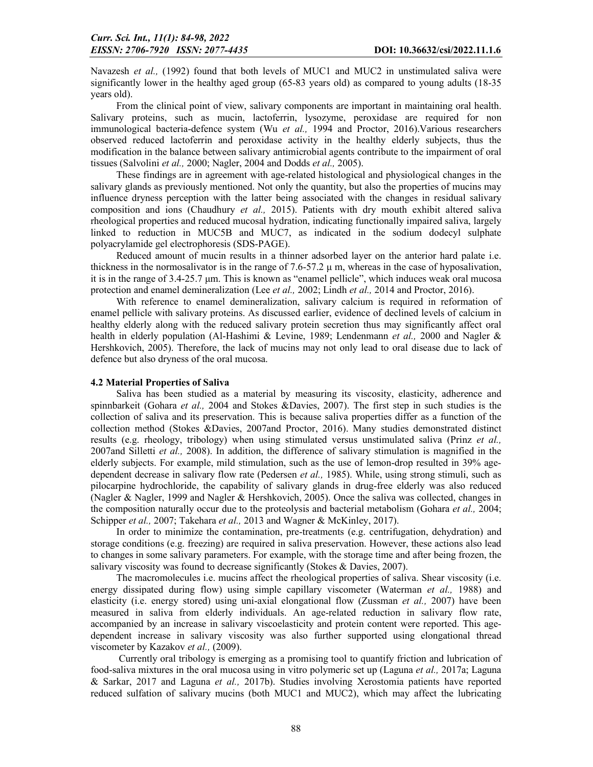Navazesh *et al.*, (1992) found that both levels of MUC1 and MUC2 in unstimulated saliva were significantly lower in the healthy aged group (65-83 years old) as compared to young adults (18-35 years old).

From the clinical point of view, salivary components are important in maintaining oral health. Salivary proteins, such as mucin, lactoferrin, lysozyme, peroxidase are required for non immunological bacteria-defence system (Wu *et al.,* 1994 and Proctor, 2016).Various researchers observed reduced lactoferrin and peroxidase activity in the healthy elderly subjects, thus the modification in the balance between salivary antimicrobial agents contribute to the impairment of oral tissues (Salvolini *et al.,* 2000; Nagler, 2004 and Dodds *et al.,* 2005).

These findings are in agreement with age-related histological and physiological changes in the salivary glands as previously mentioned. Not only the quantity, but also the properties of mucins may influence dryness perception with the latter being associated with the changes in residual salivary composition and ions (Chaudhury *et al.,* 2015). Patients with dry mouth exhibit altered saliva rheological properties and reduced mucosal hydration, indicating functionally impaired saliva, largely linked to reduction in MUC5B and MUC7, as indicated in the sodium dodecyl sulphate polyacrylamide gel electrophoresis (SDS-PAGE).

Reduced amount of mucin results in a thinner adsorbed layer on the anterior hard palate i.e. thickness in the normosalivator is in the range of  $7.6-57.2 \mu$  m, whereas in the case of hyposalivation, it is in the range of 3.4-25.7 μm. This is known as "enamel pellicle", which induces weak oral mucosa protection and enamel demineralization (Lee *et al.,* 2002; Lindh *et al.,* 2014 and Proctor, 2016).

With reference to enamel demineralization, salivary calcium is required in reformation of enamel pellicle with salivary proteins. As discussed earlier, evidence of declined levels of calcium in healthy elderly along with the reduced salivary protein secretion thus may significantly affect oral health in elderly population (Al-Hashimi & Levine, 1989; Lendenmann *et al.,* 2000 and Nagler & Hershkovich, 2005). Therefore, the lack of mucins may not only lead to oral disease due to lack of defence but also dryness of the oral mucosa.

## 4.2 Material Properties of Saliva

Saliva has been studied as a material by measuring its viscosity, elasticity, adherence and spinnbarkeit (Gohara *et al.,* 2004 and Stokes &Davies, 2007). The first step in such studies is the collection of saliva and its preservation. This is because saliva properties differ as a function of the collection method (Stokes &Davies, 2007and Proctor, 2016). Many studies demonstrated distinct results (e.g. rheology, tribology) when using stimulated versus unstimulated saliva (Prinz *et al.,*  2007and Silletti *et al.,* 2008). In addition, the difference of salivary stimulation is magnified in the elderly subjects. For example, mild stimulation, such as the use of lemon-drop resulted in 39% agedependent decrease in salivary flow rate (Pedersen *et al.,* 1985). While, using strong stimuli, such as pilocarpine hydrochloride, the capability of salivary glands in drug-free elderly was also reduced (Nagler & Nagler, 1999 and Nagler & Hershkovich, 2005). Once the saliva was collected, changes in the composition naturally occur due to the proteolysis and bacterial metabolism (Gohara *et al.,* 2004; Schipper *et al.,* 2007; Takehara *et al.,* 2013 and Wagner & McKinley, 2017).

In order to minimize the contamination, pre-treatments (e.g. centrifugation, dehydration) and storage conditions (e.g. freezing) are required in saliva preservation. However, these actions also lead to changes in some salivary parameters. For example, with the storage time and after being frozen, the salivary viscosity was found to decrease significantly (Stokes & Davies, 2007).

The macromolecules i.e. mucins affect the rheological properties of saliva. Shear viscosity (i.e. energy dissipated during flow) using simple capillary viscometer (Waterman *et al.,* 1988) and elasticity (i.e. energy stored) using uni-axial elongational flow (Zussman *et al.,* 2007) have been measured in saliva from elderly individuals. An age-related reduction in salivary flow rate, accompanied by an increase in salivary viscoelasticity and protein content were reported. This agedependent increase in salivary viscosity was also further supported using elongational thread viscometer by Kazakov *et al.,* (2009).

Currently oral tribology is emerging as a promising tool to quantify friction and lubrication of food-saliva mixtures in the oral mucosa using in vitro polymeric set up (Laguna *et al.,* 2017a; Laguna & Sarkar, 2017 and Laguna *et al.,* 2017b). Studies involving Xerostomia patients have reported reduced sulfation of salivary mucins (both MUC1 and MUC2), which may affect the lubricating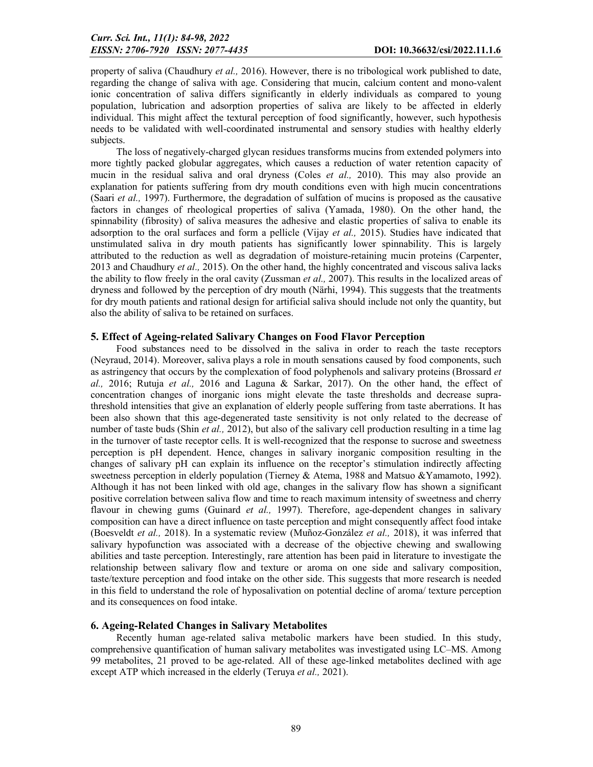property of saliva (Chaudhury *et al.,* 2016). However, there is no tribological work published to date, regarding the change of saliva with age. Considering that mucin, calcium content and mono-valent ionic concentration of saliva differs significantly in elderly individuals as compared to young population, lubrication and adsorption properties of saliva are likely to be affected in elderly individual. This might affect the textural perception of food significantly, however, such hypothesis needs to be validated with well-coordinated instrumental and sensory studies with healthy elderly subjects.

The loss of negatively-charged glycan residues transforms mucins from extended polymers into more tightly packed globular aggregates, which causes a reduction of water retention capacity of mucin in the residual saliva and oral dryness (Coles *et al.,* 2010). This may also provide an explanation for patients suffering from dry mouth conditions even with high mucin concentrations (Saari *et al.,* 1997). Furthermore, the degradation of sulfation of mucins is proposed as the causative factors in changes of rheological properties of saliva (Yamada, 1980). On the other hand, the spinnability (fibrosity) of saliva measures the adhesive and elastic properties of saliva to enable its adsorption to the oral surfaces and form a pellicle (Vijay *et al.,* 2015). Studies have indicated that unstimulated saliva in dry mouth patients has significantly lower spinnability. This is largely attributed to the reduction as well as degradation of moisture-retaining mucin proteins (Carpenter, 2013 and Chaudhury *et al.,* 2015). On the other hand, the highly concentrated and viscous saliva lacks the ability to flow freely in the oral cavity (Zussman *et al.,* 2007). This results in the localized areas of dryness and followed by the perception of dry mouth (Närhi, 1994). This suggests that the treatments for dry mouth patients and rational design for artificial saliva should include not only the quantity, but also the ability of saliva to be retained on surfaces.

## 5. Effect of Ageing-related Salivary Changes on Food Flavor Perception

Food substances need to be dissolved in the saliva in order to reach the taste receptors (Neyraud, 2014). Moreover, saliva plays a role in mouth sensations caused by food components, such as astringency that occurs by the complexation of food polyphenols and salivary proteins (Brossard *et al.,* 2016; Rutuja *et al.,* 2016 and Laguna & Sarkar, 2017). On the other hand, the effect of concentration changes of inorganic ions might elevate the taste thresholds and decrease suprathreshold intensities that give an explanation of elderly people suffering from taste aberrations. It has been also shown that this age-degenerated taste sensitivity is not only related to the decrease of number of taste buds (Shin *et al.,* 2012), but also of the salivary cell production resulting in a time lag in the turnover of taste receptor cells. It is well-recognized that the response to sucrose and sweetness perception is pH dependent. Hence, changes in salivary inorganic composition resulting in the changes of salivary pH can explain its influence on the receptor's stimulation indirectly affecting sweetness perception in elderly population (Tierney & Atema, 1988 and Matsuo &Yamamoto, 1992). Although it has not been linked with old age, changes in the salivary flow has shown a significant positive correlation between saliva flow and time to reach maximum intensity of sweetness and cherry flavour in chewing gums (Guinard *et al.*, 1997). Therefore, age-dependent changes in salivary composition can have a direct influence on taste perception and might consequently affect food intake (Boesveldt *et al.,* 2018). In a systematic review (Muñoz-González *et al.,* 2018), it was inferred that salivary hypofunction was associated with a decrease of the objective chewing and swallowing abilities and taste perception. Interestingly, rare attention has been paid in literature to investigate the relationship between salivary flow and texture or aroma on one side and salivary composition, taste/texture perception and food intake on the other side. This suggests that more research is needed in this field to understand the role of hyposalivation on potential decline of aroma/ texture perception and its consequences on food intake.

## 6. Ageing-Related Changes in Salivary Metabolites

Recently human age-related saliva metabolic markers have been studied. In this study, comprehensive quantification of human salivary metabolites was investigated using LC–MS. Among 99 metabolites, 21 proved to be age-related. All of these age-linked metabolites declined with age except ATP which increased in the elderly (Teruya *et al.,* 2021).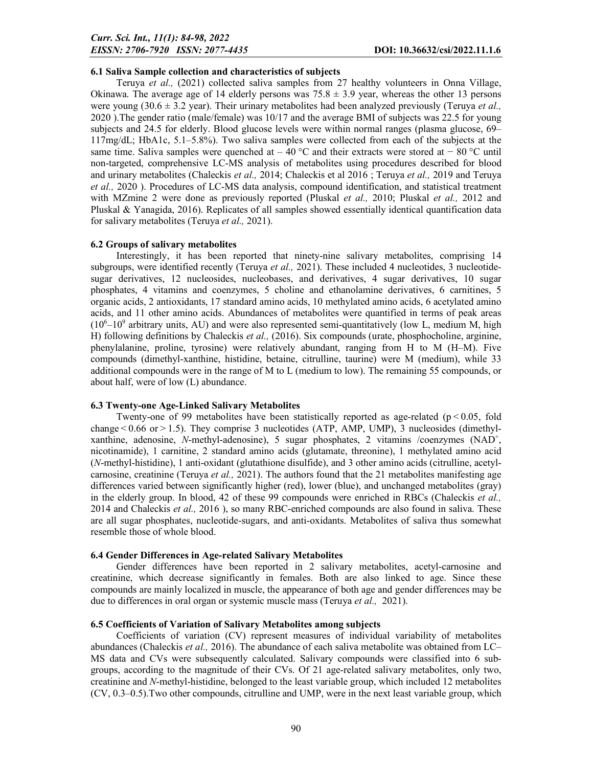## 6.1 Saliva Sample collection and characteristics of subjects

Teruya *et al.,* (2021) collected saliva samples from 27 healthy volunteers in Onna Village, Okinawa. The average age of 14 elderly persons was  $75.8 \pm 3.9$  year, whereas the other 13 persons were young  $(30.6 \pm 3.2 \text{ year})$ . Their urinary metabolites had been analyzed previously (Teruya *et al.*, 2020 ).The gender ratio (male/female) was 10/17 and the average BMI of subjects was 22.5 for young subjects and 24.5 for elderly. Blood glucose levels were within normal ranges (plasma glucose, 69– 117mg/dL; HbA1c, 5.1–5.8%). Two saliva samples were collected from each of the subjects at the same time. Saliva samples were quenched at – 40 °C and their extracts were stored at – 80 °C until non-targeted, comprehensive LC-MS analysis of metabolites using procedures described for blood and urinary metabolites (Chaleckis *et al.,* 2014; Chaleckis et al 2016 ; Teruya *et al.,* 2019 and Teruya *et al.,* 2020 ). Procedures of LC-MS data analysis, compound identification, and statistical treatment with MZmine 2 were done as previously reported (Pluskal *et al.,* 2010; Pluskal *et al.,* 2012 and Pluskal & Yanagida, 2016). Replicates of all samples showed essentially identical quantification data for salivary metabolites (Teruya *et al.,* 2021).

## 6.2 Groups of salivary metabolites

Interestingly, it has been reported that ninety-nine salivary metabolites, comprising 14 subgroups, were identified recently (Teruya *et al.,* 2021). These included 4 nucleotides, 3 nucleotidesugar derivatives, 12 nucleosides, nucleobases, and derivatives, 4 sugar derivatives, 10 sugar phosphates, 4 vitamins and coenzymes, 5 choline and ethanolamine derivatives, 6 carnitines, 5 organic acids, 2 antioxidants, 17 standard amino acids, 10 methylated amino acids, 6 acetylated amino acids, and 11 other amino acids. Abundances of metabolites were quantified in terms of peak areas  $(10<sup>6</sup> - 10<sup>9</sup>$  arbitrary units, AU) and were also represented semi-quantitatively (low L, medium M, high H) following definitions by Chaleckis *et al.,* (2016). Six compounds (urate, phosphocholine, arginine, phenylalanine, proline, tyrosine) were relatively abundant, ranging from H to M (H–M). Five compounds (dimethyl-xanthine, histidine, betaine, citrulline, taurine) were M (medium), while 33 additional compounds were in the range of M to L (medium to low). The remaining 55 compounds, or about half, were of low (L) abundance.

## 6.3 Twenty-one Age-Linked Salivary Metabolites

Twenty-one of 99 metabolites have been statistically reported as age-related ( $p < 0.05$ , fold change < 0.66 or > 1.5). They comprise 3 nucleotides (ATP, AMP, UMP), 3 nucleosides (dimethylxanthine, adenosine, *N*-methyl-adenosine), 5 sugar phosphates, 2 vitamins /coenzymes (NAD<sup>+</sup>, nicotinamide), 1 carnitine, 2 standard amino acids (glutamate, threonine), 1 methylated amino acid (*N*-methyl-histidine), 1 anti-oxidant (glutathione disulfide), and 3 other amino acids (citrulline, acetylcarnosine, creatinine (Teruya *et al.,* 2021). The authors found that the 21 metabolites manifesting age differences varied between significantly higher (red), lower (blue), and unchanged metabolites (gray) in the elderly group. In blood, 42 of these 99 compounds were enriched in RBCs (Chaleckis *et al.,*  2014 and Chaleckis *et al.,* 2016 ), so many RBC-enriched compounds are also found in saliva. These are all sugar phosphates, nucleotide-sugars, and anti-oxidants. Metabolites of saliva thus somewhat resemble those of whole blood.

## 6.4 Gender Differences in Age-related Salivary Metabolites

Gender differences have been reported in 2 salivary metabolites, acetyl-carnosine and creatinine, which decrease significantly in females. Both are also linked to age. Since these compounds are mainly localized in muscle, the appearance of both age and gender differences may be due to differences in oral organ or systemic muscle mass (Teruya *et al.,* 2021).

## 6.5 Coefficients of Variation of Salivary Metabolites among subjects

Coefficients of variation (CV) represent measures of individual variability of metabolites abundances (Chaleckis *et al.,* 2016). The abundance of each saliva metabolite was obtained from LC– MS data and CVs were subsequently calculated. Salivary compounds were classified into 6 subgroups, according to the magnitude of their CVs. Of 21 age-related salivary metabolites, only two, creatinine and *N*-methyl-histidine, belonged to the least variable group, which included 12 metabolites (CV, 0.3–0.5).Two other compounds, citrulline and UMP, were in the next least variable group, which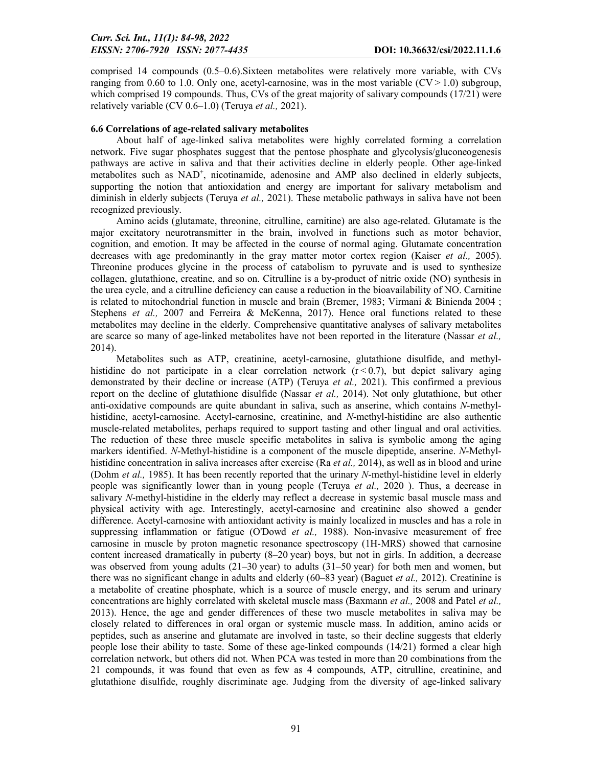comprised 14 compounds (0.5–0.6).Sixteen metabolites were relatively more variable, with CVs ranging from 0.60 to 1.0. Only one, acetyl-carnosine, was in the most variable  $(CV > 1.0)$  subgroup, which comprised 19 compounds. Thus, CVs of the great majority of salivary compounds (17/21) were relatively variable (CV 0.6–1.0) (Teruya *et al.,* 2021).

## 6.6 Correlations of age-related salivary metabolites

About half of age-linked saliva metabolites were highly correlated forming a correlation network. Five sugar phosphates suggest that the pentose phosphate and glycolysis/gluconeogenesis pathways are active in saliva and that their activities decline in elderly people. Other age-linked metabolites such as NAD<sup>+</sup>, nicotinamide, adenosine and AMP also declined in elderly subjects, supporting the notion that antioxidation and energy are important for salivary metabolism and diminish in elderly subjects (Teruya *et al.,* 2021). These metabolic pathways in saliva have not been recognized previously.

Amino acids (glutamate, threonine, citrulline, carnitine) are also age-related. Glutamate is the major excitatory neurotransmitter in the brain, involved in functions such as motor behavior, cognition, and emotion. It may be affected in the course of normal aging. Glutamate concentration decreases with age predominantly in the gray matter motor cortex region (Kaiser *et al.,* 2005). Threonine produces glycine in the process of catabolism to pyruvate and is used to synthesize collagen, glutathione, creatine, and so on. Citrulline is a by-product of nitric oxide (NO) synthesis in the urea cycle, and a citrulline deficiency can cause a reduction in the bioavailability of NO. Carnitine is related to mitochondrial function in muscle and brain (Bremer, 1983; Virmani & Binienda 2004 ; Stephens *et al.,* 2007 and Ferreira & McKenna, 2017). Hence oral functions related to these metabolites may decline in the elderly. Comprehensive quantitative analyses of salivary metabolites are scarce so many of age-linked metabolites have not been reported in the literature (Nassar *et al.,*  2014).

Metabolites such as ATP, creatinine, acetyl-carnosine, glutathione disulfide, and methylhistidine do not participate in a clear correlation network  $(r<0.7)$ , but depict salivary aging demonstrated by their decline or increase (ATP) (Teruya *et al.,* 2021). This confirmed a previous report on the decline of glutathione disulfide (Nassar *et al.,* 2014). Not only glutathione, but other anti-oxidative compounds are quite abundant in saliva, such as anserine, which contains *N*-methylhistidine, acetyl-carnosine. Acetyl-carnosine, creatinine, and *N*-methyl-histidine are also authentic muscle-related metabolites, perhaps required to support tasting and other lingual and oral activities. The reduction of these three muscle specific metabolites in saliva is symbolic among the aging markers identified. *N*-Methyl-histidine is a component of the muscle dipeptide, anserine. *N*-Methylhistidine concentration in saliva increases after exercise (Ra *et al.,* 2014), as well as in blood and urine (Dohm *et al.,* 1985). It has been recently reported that the urinary *N*-methyl-histidine level in elderly people was significantly lower than in young people (Teruya *et al.,* 2020 ). Thus, a decrease in salivary *N*-methyl-histidine in the elderly may reflect a decrease in systemic basal muscle mass and physical activity with age. Interestingly, acetyl-carnosine and creatinine also showed a gender difference. Acetyl-carnosine with antioxidant activity is mainly localized in muscles and has a role in suppressing inflammation or fatigue (O'Dowd *et al.,* 1988). Non-invasive measurement of free carnosine in muscle by proton magnetic resonance spectroscopy (1H-MRS) showed that carnosine content increased dramatically in puberty (8–20 year) boys, but not in girls. In addition, a decrease was observed from young adults  $(21-30 \text{ year})$  to adults  $(31-50 \text{ year})$  for both men and women, but there was no significant change in adults and elderly (60–83 year) (Baguet *et al.,* 2012). Creatinine is a metabolite of creatine phosphate, which is a source of muscle energy, and its serum and urinary concentrations are highly correlated with skeletal muscle mass (Baxmann *et al.,* 2008 and Patel *et al.,*  2013). Hence, the age and gender differences of these two muscle metabolites in saliva may be closely related to differences in oral organ or systemic muscle mass. In addition, amino acids or peptides, such as anserine and glutamate are involved in taste, so their decline suggests that elderly people lose their ability to taste. Some of these age-linked compounds (14/21) formed a clear high correlation network, but others did not. When PCA was tested in more than 20 combinations from the 21 compounds, it was found that even as few as 4 compounds, ATP, citrulline, creatinine, and glutathione disulfide, roughly discriminate age. Judging from the diversity of age-linked salivary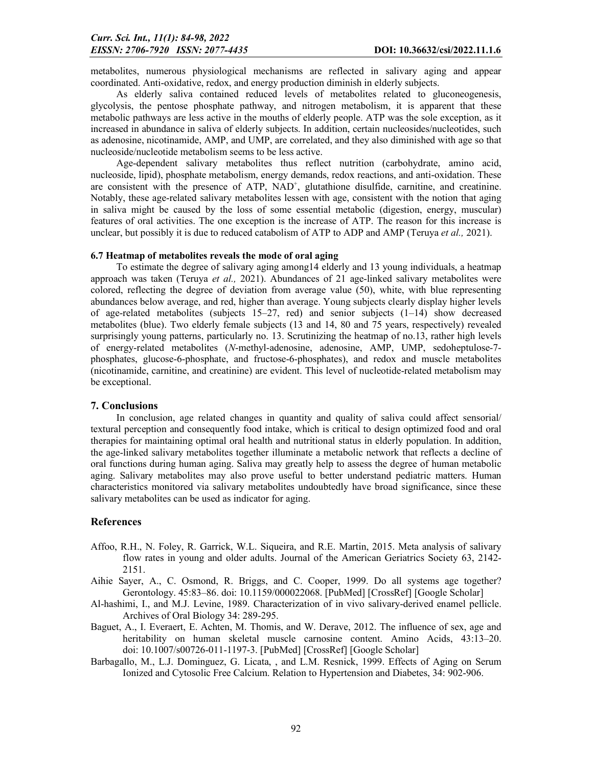metabolites, numerous physiological mechanisms are reflected in salivary aging and appear coordinated. Anti-oxidative, redox, and energy production diminish in elderly subjects.

As elderly saliva contained reduced levels of metabolites related to gluconeogenesis, glycolysis, the pentose phosphate pathway, and nitrogen metabolism, it is apparent that these metabolic pathways are less active in the mouths of elderly people. ATP was the sole exception, as it increased in abundance in saliva of elderly subjects. In addition, certain nucleosides/nucleotides, such as adenosine, nicotinamide, AMP, and UMP, are correlated, and they also diminished with age so that nucleoside/nucleotide metabolism seems to be less active.

Age-dependent salivary metabolites thus reflect nutrition (carbohydrate, amino acid, nucleoside, lipid), phosphate metabolism, energy demands, redox reactions, and anti-oxidation. These are consistent with the presence of ATP, NAD<sup>+</sup>, glutathione disulfide, carnitine, and creatinine. Notably, these age-related salivary metabolites lessen with age, consistent with the notion that aging in saliva might be caused by the loss of some essential metabolic (digestion, energy, muscular) features of oral activities. The one exception is the increase of ATP. The reason for this increase is unclear, but possibly it is due to reduced catabolism of ATP to ADP and AMP (Teruya *et al.,* 2021).

## 6.7 Heatmap of metabolites reveals the mode of oral aging

To estimate the degree of salivary aging among14 elderly and 13 young individuals, a heatmap approach was taken (Teruya *et al.,* 2021). Abundances of 21 age-linked salivary metabolites were colored, reflecting the degree of deviation from average value (50), white, with blue representing abundances below average, and red, higher than average. Young subjects clearly display higher levels of age-related metabolites (subjects  $15-27$ , red) and senior subjects  $(1-14)$  show decreased metabolites (blue). Two elderly female subjects (13 and 14, 80 and 75 years, respectively) revealed surprisingly young patterns, particularly no. 13. Scrutinizing the heatmap of no.13, rather high levels of energy-related metabolites (*N*-methyl-adenosine, adenosine, AMP, UMP, sedoheptulose-7 phosphates, glucose-6-phosphate, and fructose-6-phosphates), and redox and muscle metabolites (nicotinamide, carnitine, and creatinine) are evident. This level of nucleotide-related metabolism may be exceptional.

## 7. Conclusions

In conclusion, age related changes in quantity and quality of saliva could affect sensorial/ textural perception and consequently food intake, which is critical to design optimized food and oral therapies for maintaining optimal oral health and nutritional status in elderly population. In addition, the age-linked salivary metabolites together illuminate a metabolic network that reflects a decline of oral functions during human aging. Saliva may greatly help to assess the degree of human metabolic aging. Salivary metabolites may also prove useful to better understand pediatric matters. Human characteristics monitored via salivary metabolites undoubtedly have broad significance, since these salivary metabolites can be used as indicator for aging.

## References

- Affoo, R.H., N. Foley, R. Garrick, W.L. Siqueira, and R.E. Martin, 2015. Meta analysis of salivary flow rates in young and older adults. Journal of the American Geriatrics Society 63, 2142- 2151.
- Aihie Sayer, A., C. Osmond, R. Briggs, and C. Cooper, 1999. Do all systems age together? Gerontology. 45:83–86. doi: 10.1159/000022068. [PubMed] [CrossRef] [Google Scholar]
- Al-hashimi, I., and M.J. Levine, 1989. Characterization of in vivo salivary-derived enamel pellicle. Archives of Oral Biology 34: 289-295.
- Baguet, A., I. Everaert, E. Achten, M. Thomis, and W. Derave, 2012. The influence of sex, age and heritability on human skeletal muscle carnosine content. Amino Acids, 43:13–20. doi: 10.1007/s00726-011-1197-3. [PubMed] [CrossRef] [Google Scholar]
- Barbagallo, M., L.J. Dominguez, G. Licata, , and L.M. Resnick, 1999. Effects of Aging on Serum Ionized and Cytosolic Free Calcium. Relation to Hypertension and Diabetes, 34: 902-906.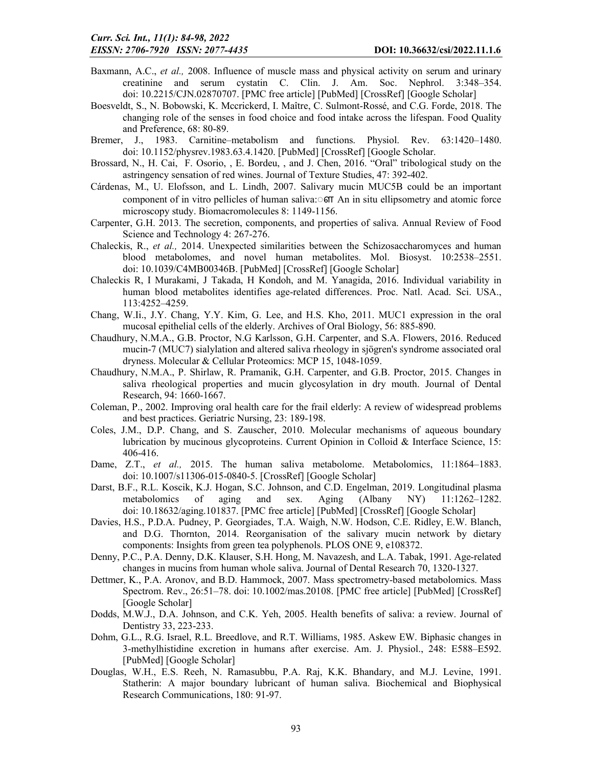- Baxmann, A.C., *et al.,* 2008. Influence of muscle mass and physical activity on serum and urinary creatinine and serum cystatin C. Clin. J. Am. Soc. Nephrol. 3:348–354. doi: 10.2215/CJN.02870707. [PMC free article] [PubMed] [CrossRef] [Google Scholar]
- Boesveldt, S., N. Bobowski, K. Mccrickerd, I. Maître, C. Sulmont-Rossé, and C.G. Forde, 2018. The changing role of the senses in food choice and food intake across the lifespan. Food Quality and Preference, 68: 80-89.
- Bremer, J., 1983. Carnitine–metabolism and functions. Physiol. Rev. 63:1420–1480. doi: 10.1152/physrev.1983.63.4.1420. [PubMed] [CrossRef] [Google Scholar.
- Brossard, N., H. Cai, F. Osorio, , E. Bordeu, , and J. Chen, 2016. "Oral" tribological study on the astringency sensation of red wines. Journal of Texture Studies, 47: 392-402.
- Cárdenas, M., U. Elofsson, and L. Lindh, 2007. Salivary mucin MUC5B could be an important component of in vitro pellicles of human saliva: **oπ** An in situ ellipsometry and atomic force microscopy study. Biomacromolecules 8: 1149-1156.
- Carpenter, G.H. 2013. The secretion, components, and properties of saliva. Annual Review of Food Science and Technology 4: 267-276.
- Chaleckis, R., *et al.,* 2014. Unexpected similarities between the Schizosaccharomyces and human blood metabolomes, and novel human metabolites. Mol. Biosyst. 10:2538–2551. doi: 10.1039/C4MB00346B. [PubMed] [CrossRef] [Google Scholar]
- Chaleckis R, I Murakami, J Takada, H Kondoh, and M. Yanagida, 2016. Individual variability in human blood metabolites identifies age-related differences. Proc. Natl. Acad. Sci. USA., 113:4252–4259.
- Chang, W.Ii., J.Y. Chang, Y.Y. Kim, G. Lee, and H.S. Kho, 2011. MUC1 expression in the oral mucosal epithelial cells of the elderly. Archives of Oral Biology, 56: 885-890.
- Chaudhury, N.M.A., G.B. Proctor, N.G Karlsson, G.H. Carpenter, and S.A. Flowers, 2016. Reduced mucin-7 (MUC7) sialylation and altered saliva rheology in sjögren's syndrome associated oral dryness. Molecular & Cellular Proteomics: MCP 15, 1048-1059.
- Chaudhury, N.M.A., P. Shirlaw, R. Pramanik, G.H. Carpenter, and G.B. Proctor, 2015. Changes in saliva rheological properties and mucin glycosylation in dry mouth. Journal of Dental Research, 94: 1660-1667.
- Coleman, P., 2002. Improving oral health care for the frail elderly: A review of widespread problems and best practices. Geriatric Nursing, 23: 189-198.
- Coles, J.M., D.P. Chang, and S. Zauscher, 2010. Molecular mechanisms of aqueous boundary lubrication by mucinous glycoproteins. Current Opinion in Colloid & Interface Science, 15: 406-416.
- Dame, Z.T., *et al.,* 2015. The human saliva metabolome. Metabolomics, 11:1864–1883. doi: 10.1007/s11306-015-0840-5. [CrossRef] [Google Scholar]
- Darst, B.F., R.L. Koscik, K.J. Hogan, S.C. Johnson, and C.D. Engelman, 2019. Longitudinal plasma metabolomics of aging and sex. Aging (Albany NY) 11:1262–1282. doi: 10.18632/aging.101837. [PMC free article] [PubMed] [CrossRef] [Google Scholar]
- Davies, H.S., P.D.A. Pudney, P. Georgiades, T.A. Waigh, N.W. Hodson, C.E. Ridley, E.W. Blanch, and D.G. Thornton, 2014. Reorganisation of the salivary mucin network by dietary components: Insights from green tea polyphenols. PLOS ONE 9, e108372.
- Denny, P.C., P.A. Denny, D.K. Klauser, S.H. Hong, M. Navazesh, and L.A. Tabak, 1991. Age-related changes in mucins from human whole saliva. Journal of Dental Research 70, 1320-1327.
- Dettmer, K., P.A. Aronov, and B.D. Hammock, 2007. Mass spectrometry-based metabolomics. Mass Spectrom. Rev., 26:51–78. doi: 10.1002/mas.20108. [PMC free article] [PubMed] [CrossRef] [Google Scholar]
- Dodds, M.W.J., D.A. Johnson, and C.K. Yeh, 2005. Health benefits of saliva: a review. Journal of Dentistry 33, 223-233.
- Dohm, G.L., R.G. Israel, R.L. Breedlove, and R.T. Williams, 1985. Askew EW. Biphasic changes in 3-methylhistidine excretion in humans after exercise. Am. J. Physiol., 248: E588–E592. [PubMed] [Google Scholar]
- Douglas, W.H., E.S. Reeh, N. Ramasubbu, P.A. Raj, K.K. Bhandary, and M.J. Levine, 1991. Statherin: A major boundary lubricant of human saliva. Biochemical and Biophysical Research Communications, 180: 91-97.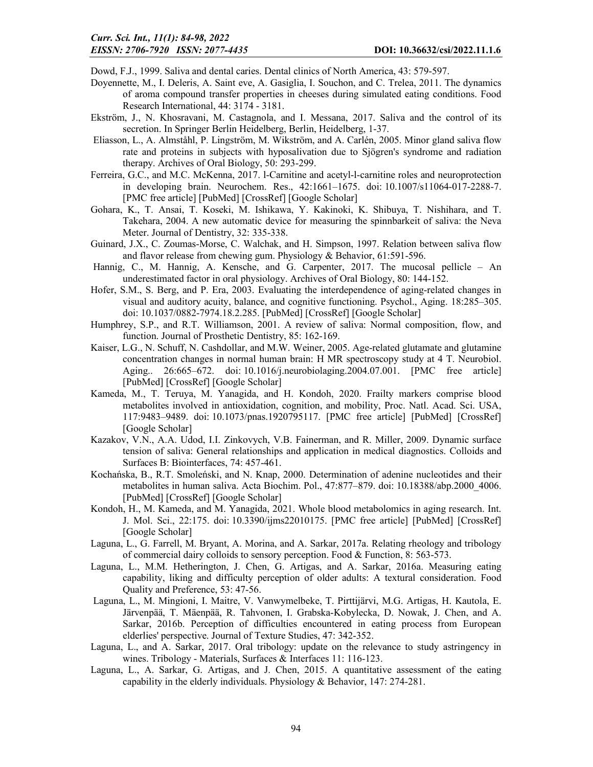Dowd, F.J., 1999. Saliva and dental caries. Dental clinics of North America, 43: 579-597.

- Doyennette, M., I. Deleris, A. Saint eve, A. Gasiglia, I. Souchon, and C. Trelea, 2011. The dynamics of aroma compound transfer properties in cheeses during simulated eating conditions. Food Research International, 44: 3174 - 3181.
- Ekström, J., N. Khosravani, M. Castagnola, and I. Messana, 2017. Saliva and the control of its secretion. In Springer Berlin Heidelberg, Berlin, Heidelberg, 1-37.
- Eliasson, L., A. Almståhl, P. Lingström, M. Wikström, and A. Carlén, 2005. Minor gland saliva flow rate and proteins in subjects with hyposalivation due to Sjögren's syndrome and radiation therapy. Archives of Oral Biology, 50: 293-299.
- Ferreira, G.C., and M.C. McKenna, 2017. l-Carnitine and acetyl-l-carnitine roles and neuroprotection in developing brain. Neurochem. Res., 42:1661–1675. doi: 10.1007/s11064-017-2288-7. [PMC free article] [PubMed] [CrossRef] [Google Scholar]
- Gohara, K., T. Ansai, T. Koseki, M. Ishikawa, Y. Kakinoki, K. Shibuya, T. Nishihara, and T. Takehara, 2004. A new automatic device for measuring the spinnbarkeit of saliva: the Neva Meter. Journal of Dentistry, 32: 335-338.
- Guinard, J.X., C. Zoumas-Morse, C. Walchak, and H. Simpson, 1997. Relation between saliva flow and flavor release from chewing gum. Physiology & Behavior, 61:591-596.
- Hannig, C., M. Hannig, A. Kensche, and G. Carpenter, 2017. The mucosal pellicle An underestimated factor in oral physiology. Archives of Oral Biology, 80: 144-152.
- Hofer, S.M., S. Berg, and P. Era, 2003. Evaluating the interdependence of aging-related changes in visual and auditory acuity, balance, and cognitive functioning. Psychol., Aging. 18:285–305. doi: 10.1037/0882-7974.18.2.285. [PubMed] [CrossRef] [Google Scholar]
- Humphrey, S.P., and R.T. Williamson, 2001. A review of saliva: Normal composition, flow, and function. Journal of Prosthetic Dentistry, 85: 162-169.
- Kaiser, L.G., N. Schuff, N. Cashdollar, and M.W. Weiner, 2005. Age-related glutamate and glutamine concentration changes in normal human brain: H MR spectroscopy study at 4 T. Neurobiol. Aging.. 26:665–672. doi: 10.1016/j.neurobiolaging.2004.07.001. [PMC free article] [PubMed] [CrossRef] [Google Scholar]
- Kameda, M., T. Teruya, M. Yanagida, and H. Kondoh, 2020. Frailty markers comprise blood metabolites involved in antioxidation, cognition, and mobility, Proc. Natl. Acad. Sci. USA, 117:9483–9489. doi: 10.1073/pnas.1920795117. [PMC free article] [PubMed] [CrossRef] [Google Scholar]
- Kazakov, V.N., A.A. Udod, I.I. Zinkovych, V.B. Fainerman, and R. Miller, 2009. Dynamic surface tension of saliva: General relationships and application in medical diagnostics. Colloids and Surfaces B: Biointerfaces, 74: 457-461.
- Kochańska, B., R.T. Smoleński, and N. Knap, 2000. Determination of adenine nucleotides and their metabolites in human saliva. Acta Biochim. Pol., 47:877–879. doi: 10.18388/abp.2000\_4006. [PubMed] [CrossRef] [Google Scholar]
- Kondoh, H., M. Kameda, and M. Yanagida, 2021. Whole blood metabolomics in aging research. Int. J. Mol. Sci., 22:175. doi: 10.3390/ijms22010175. [PMC free article] [PubMed] [CrossRef] [Google Scholar]
- Laguna, L., G. Farrell, M. Bryant, A. Morina, and A. Sarkar, 2017a. Relating rheology and tribology of commercial dairy colloids to sensory perception. Food & Function, 8: 563-573.
- Laguna, L., M.M. Hetherington, J. Chen, G. Artigas, and A. Sarkar, 2016a. Measuring eating capability, liking and difficulty perception of older adults: A textural consideration. Food Quality and Preference, 53: 47-56.
- Laguna, L., M. Mingioni, I. Maitre, V. Vanwymelbeke, T. Pirttijärvi, M.G. Artigas, H. Kautola, E. Järvenpää, T. Mäenpää, R. Tahvonen, I. Grabska-Kobylecka, D. Nowak, J. Chen, and A. Sarkar, 2016b. Perception of difficulties encountered in eating process from European elderlies' perspective. Journal of Texture Studies, 47: 342-352.
- Laguna, L., and A. Sarkar, 2017. Oral tribology: update on the relevance to study astringency in wines. Tribology - Materials, Surfaces & Interfaces 11: 116-123.
- Laguna, L., A. Sarkar, G. Artigas, and J. Chen, 2015. A quantitative assessment of the eating capability in the elderly individuals. Physiology & Behavior, 147: 274-281.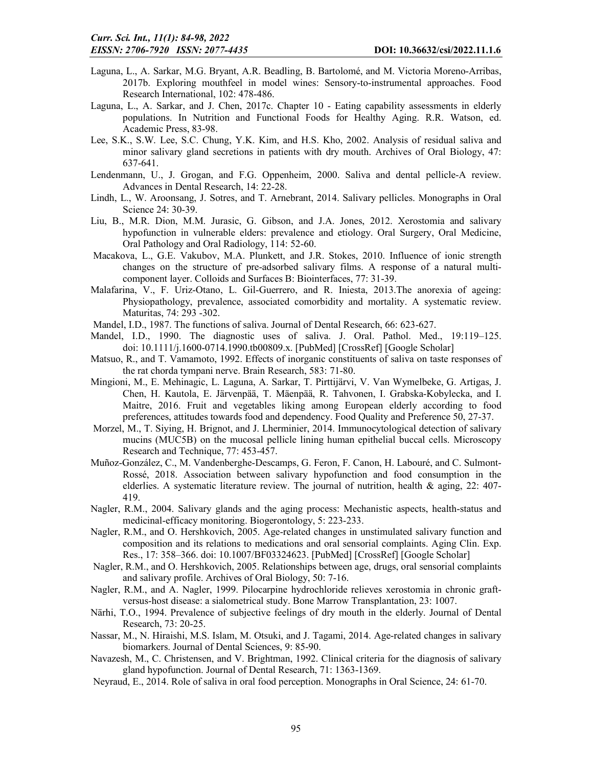- Laguna, L., A. Sarkar, M.G. Bryant, A.R. Beadling, B. Bartolomé, and M. Victoria Moreno-Arribas, 2017b. Exploring mouthfeel in model wines: Sensory-to-instrumental approaches. Food Research International, 102: 478-486.
- Laguna, L., A. Sarkar, and J. Chen, 2017c. Chapter 10 Eating capability assessments in elderly populations. In Nutrition and Functional Foods for Healthy Aging. R.R. Watson, ed. Academic Press, 83-98.
- Lee, S.K., S.W. Lee, S.C. Chung, Y.K. Kim, and H.S. Kho, 2002. Analysis of residual saliva and minor salivary gland secretions in patients with dry mouth. Archives of Oral Biology, 47: 637-641.
- Lendenmann, U., J. Grogan, and F.G. Oppenheim, 2000. Saliva and dental pellicle-A review. Advances in Dental Research, 14: 22-28.
- Lindh, L., W. Aroonsang, J. Sotres, and T. Arnebrant, 2014. Salivary pellicles. Monographs in Oral Science 24: 30-39.
- Liu, B., M.R. Dion, M.M. Jurasic, G. Gibson, and J.A. Jones, 2012. Xerostomia and salivary hypofunction in vulnerable elders: prevalence and etiology. Oral Surgery, Oral Medicine, Oral Pathology and Oral Radiology, 114: 52-60.
- Macakova, L., G.E. Vakubov, M.A. Plunkett, and J.R. Stokes, 2010. Influence of ionic strength changes on the structure of pre-adsorbed salivary films. A response of a natural multicomponent layer. Colloids and Surfaces B: Biointerfaces, 77: 31-39.
- Malafarina, V., F. Uriz-Otano, L. Gil-Guerrero, and R. Iniesta, 2013.The anorexia of ageing: Physiopathology, prevalence, associated comorbidity and mortality. A systematic review. Maturitas, 74: 293 -302.
- Mandel, I.D., 1987. The functions of saliva. Journal of Dental Research, 66: 623-627.
- Mandel, I.D., 1990. The diagnostic uses of saliva. J. Oral. Pathol. Med., 19:119–125. doi: 10.1111/j.1600-0714.1990.tb00809.x. [PubMed] [CrossRef] [Google Scholar]
- Matsuo, R., and T. Vamamoto, 1992. Effects of inorganic constituents of saliva on taste responses of the rat chorda tympani nerve. Brain Research, 583: 71-80.
- Mingioni, M., E. Mehinagic, L. Laguna, A. Sarkar, T. Pirttijärvi, V. Van Wymelbeke, G. Artigas, J. Chen, H. Kautola, E. Järvenpää, T. Mäenpää, R. Tahvonen, I. Grabska-Kobylecka, and I. Maitre, 2016. Fruit and vegetables liking among European elderly according to food preferences, attitudes towards food and dependency. Food Quality and Preference 50, 27-37.
- Morzel, M., T. Siying, H. Brignot, and J. Lherminier, 2014. Immunocytological detection of salivary mucins (MUC5B) on the mucosal pellicle lining human epithelial buccal cells. Microscopy Research and Technique, 77: 453-457.
- Muñoz-González, C., M. Vandenberghe-Descamps, G. Feron, F. Canon, H. Labouré, and C. Sulmont-Rossé, 2018. Association between salivary hypofunction and food consumption in the elderlies. A systematic literature review. The journal of nutrition, health & aging, 22: 407- 419.
- Nagler, R.M., 2004. Salivary glands and the aging process: Mechanistic aspects, health-status and medicinal-efficacy monitoring. Biogerontology, 5: 223-233.
- Nagler, R.M., and O. Hershkovich, 2005. Age-related changes in unstimulated salivary function and composition and its relations to medications and oral sensorial complaints. Aging Clin. Exp. Res., 17: 358–366. doi: 10.1007/BF03324623. [PubMed] [CrossRef] [Google Scholar]
- Nagler, R.M., and O. Hershkovich, 2005. Relationships between age, drugs, oral sensorial complaints and salivary profile. Archives of Oral Biology, 50: 7-16.
- Nagler, R.M., and A. Nagler, 1999. Pilocarpine hydrochloride relieves xerostomia in chronic graftversus-host disease: a sialometrical study. Bone Marrow Transplantation, 23: 1007.
- Närhi, T.O., 1994. Prevalence of subjective feelings of dry mouth in the elderly. Journal of Dental Research, 73: 20-25.
- Nassar, M., N. Hiraishi, M.S. Islam, M. Otsuki, and J. Tagami, 2014. Age-related changes in salivary biomarkers. Journal of Dental Sciences, 9: 85-90.
- Navazesh, M., C. Christensen, and V. Brightman, 1992. Clinical criteria for the diagnosis of salivary gland hypofunction. Journal of Dental Research, 71: 1363-1369.
- Neyraud, E., 2014. Role of saliva in oral food perception. Monographs in Oral Science, 24: 61-70.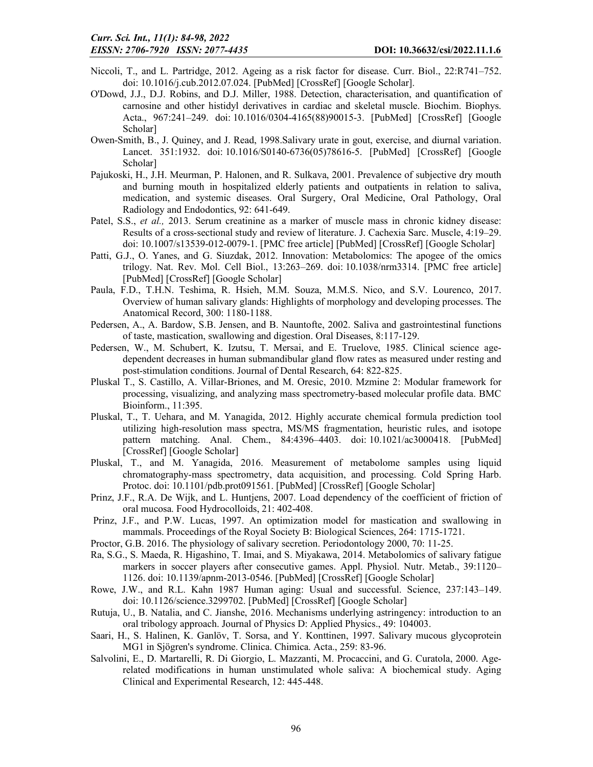- Niccoli, T., and L. Partridge, 2012. Ageing as a risk factor for disease. Curr. Biol., 22:R741–752. doi: 10.1016/j.cub.2012.07.024. [PubMed] [CrossRef] [Google Scholar].
- O'Dowd, J.J., D.J. Robins, and D.J. Miller, 1988. Detection, characterisation, and quantification of carnosine and other histidyl derivatives in cardiac and skeletal muscle. Biochim. Biophys. Acta., 967:241–249. doi: 10.1016/0304-4165(88)90015-3. [PubMed] [CrossRef] [Google Scholar]
- Owen-Smith, B., J. Quiney, and J. Read, 1998.Salivary urate in gout, exercise, and diurnal variation. Lancet. 351:1932. doi: 10.1016/S0140-6736(05)78616-5. [PubMed] [CrossRef] [Google Scholar]
- Pajukoski, H., J.H. Meurman, P. Halonen, and R. Sulkava, 2001. Prevalence of subjective dry mouth and burning mouth in hospitalized elderly patients and outpatients in relation to saliva, medication, and systemic diseases. Oral Surgery, Oral Medicine, Oral Pathology, Oral Radiology and Endodontics, 92: 641-649.
- Patel, S.S., *et al.,* 2013. Serum creatinine as a marker of muscle mass in chronic kidney disease: Results of a cross-sectional study and review of literature. J. Cachexia Sarc. Muscle, 4:19–29. doi: 10.1007/s13539-012-0079-1. [PMC free article] [PubMed] [CrossRef] [Google Scholar]
- Patti, G.J., O. Yanes, and G. Siuzdak, 2012. Innovation: Metabolomics: The apogee of the omics trilogy. Nat. Rev. Mol. Cell Biol., 13:263–269. doi: 10.1038/nrm3314. [PMC free article] [PubMed] [CrossRef] [Google Scholar]
- Paula, F.D., T.H.N. Teshima, R. Hsieh, M.M. Souza, M.M.S. Nico, and S.V. Lourenco, 2017. Overview of human salivary glands: Highlights of morphology and developing processes. The Anatomical Record, 300: 1180-1188.
- Pedersen, A., A. Bardow, S.B. Jensen, and B. Nauntofte, 2002. Saliva and gastrointestinal functions of taste, mastication, swallowing and digestion. Oral Diseases, 8:117-129.
- Pedersen, W., M. Schubert, K. Izutsu, T. Mersai, and E. Truelove, 1985. Clinical science agedependent decreases in human submandibular gland flow rates as measured under resting and post-stimulation conditions. Journal of Dental Research, 64: 822-825.
- Pluskal T., S. Castillo, A. Villar-Briones, and M. Oresic, 2010. Mzmine 2: Modular framework for processing, visualizing, and analyzing mass spectrometry-based molecular profile data. BMC Bioinform., 11:395.
- Pluskal, T., T. Uehara, and M. Yanagida, 2012. Highly accurate chemical formula prediction tool utilizing high-resolution mass spectra, MS/MS fragmentation, heuristic rules, and isotope pattern matching. Anal. Chem., 84:4396–4403. doi: 10.1021/ac3000418. [PubMed] [CrossRef] [Google Scholar]
- Pluskal, T., and M. Yanagida, 2016. Measurement of metabolome samples using liquid chromatography-mass spectrometry, data acquisition, and processing. Cold Spring Harb. Protoc. doi: 10.1101/pdb.prot091561. [PubMed] [CrossRef] [Google Scholar]
- Prinz, J.F., R.A. De Wijk, and L. Huntjens, 2007. Load dependency of the coefficient of friction of oral mucosa. Food Hydrocolloids, 21: 402-408.
- Prinz, J.F., and P.W. Lucas, 1997. An optimization model for mastication and swallowing in mammals. Proceedings of the Royal Society B: Biological Sciences, 264: 1715-1721.
- Proctor, G.B. 2016. The physiology of salivary secretion. Periodontology 2000, 70: 11-25.
- Ra, S.G., S. Maeda, R. Higashino, T. Imai, and S. Miyakawa, 2014. Metabolomics of salivary fatigue markers in soccer players after consecutive games. Appl. Physiol. Nutr. Metab., 39:1120– 1126. doi: 10.1139/apnm-2013-0546. [PubMed] [CrossRef] [Google Scholar]
- Rowe, J.W., and R.L. Kahn 1987 Human aging: Usual and successful. Science, 237:143–149. doi: 10.1126/science.3299702. [PubMed] [CrossRef] [Google Scholar]
- Rutuja, U., B. Natalia, and C. Jianshe, 2016. Mechanisms underlying astringency: introduction to an oral tribology approach. Journal of Physics D: Applied Physics., 49: 104003.
- Saari, H., S. Halinen, K. Ganlöv, T. Sorsa, and Y. Konttinen, 1997. Salivary mucous glycoprotein MG1 in Sjögren's syndrome. Clinica. Chimica. Acta., 259: 83-96.
- Salvolini, E., D. Martarelli, R. Di Giorgio, L. Mazzanti, M. Procaccini, and G. Curatola, 2000. Agerelated modifications in human unstimulated whole saliva: A biochemical study. Aging Clinical and Experimental Research, 12: 445-448.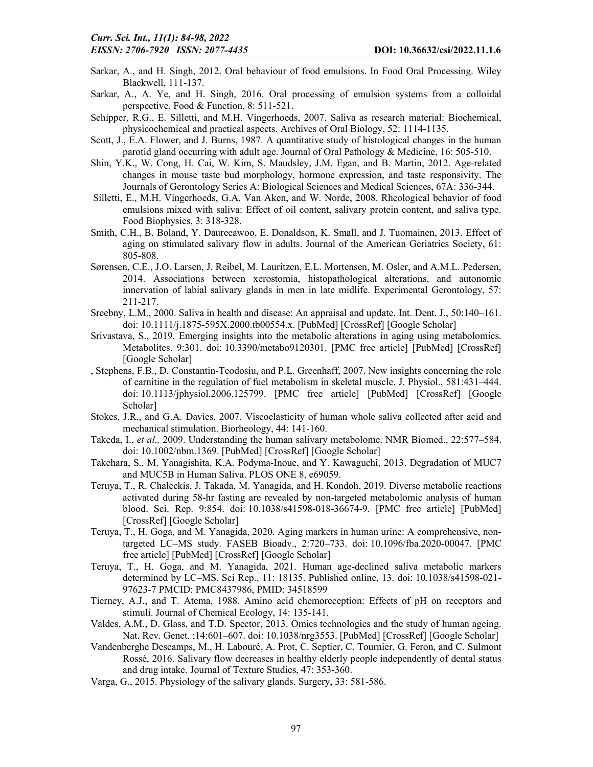- Sarkar, A., and H. Singh, 2012. Oral behaviour of food emulsions. In Food Oral Processing. Wiley Blackwell, 111-137.
- Sarkar, A., A. Ye, and H. Singh, 2016. Oral processing of emulsion systems from a colloidal perspective. Food & Function, 8: 511-521.
- Schipper, R.G., E. Silletti, and M.H. Vingerhoeds, 2007. Saliva as research material: Biochemical, physicochemical and practical aspects. Archives of Oral Biology, 52: 1114-1135.
- Scott, J., E.A. Flower, and J. Burns, 1987. A quantitative study of histological changes in the human parotid gland occurring with adult age. Journal of Oral Pathology & Medicine, 16: 505-510.
- Shin, Y.K., W. Cong, H. Cai, W. Kim, S. Maudsley, J.M. Egan, and B. Martin, 2012. Age-related changes in mouse taste bud morphology, hormone expression, and taste responsivity. The Journals of Gerontology Series A: Biological Sciences and Medical Sciences, 67A: 336-344.
- Silletti, E., M.H. Vingerhoeds, G.A. Van Aken, and W. Norde, 2008. Rheological behavior of food emulsions mixed with saliva: Effect of oil content, salivary protein content, and saliva type. Food Biophysics, 3: 318-328.
- Smith, C.H., B. Boland, Y. Daureeawoo, E. Donaldson, K. Small, and J. Tuomainen, 2013. Effect of aging on stimulated salivary flow in adults. Journal of the American Geriatrics Society, 61: 805-808.
- Sørensen, C.E., J.O. Larsen, J. Reibel, M. Lauritzen, E.L. Mortensen, M. Osler, and A.M.L. Pedersen, 2014. Associations between xerostomia, histopathological alterations, and autonomic innervation of labial salivary glands in men in late midlife. Experimental Gerontology, 57: 211-217.
- Sreebny, L.M., 2000. Saliva in health and disease: An appraisal and update. Int. Dent. J., 50:140–161. doi: 10.1111/j.1875-595X.2000.tb00554.x. [PubMed] [CrossRef] [Google Scholar]
- Srivastava, S., 2019. Emerging insights into the metabolic alterations in aging using metabolomics. Metabolites. 9:301. doi: 10.3390/metabo9120301. [PMC free article] [PubMed] [CrossRef] [Google Scholar]
- , Stephens, F.B., D. Constantin-Teodosiu, and P.L. Greenhaff, 2007. New insights concerning the role of carnitine in the regulation of fuel metabolism in skeletal muscle. J. Physiol., 581:431–444. doi: 10.1113/jphysiol.2006.125799. [PMC free article] [PubMed] [CrossRef] [Google Scholar]
- Stokes, J.R., and G.A. Davies, 2007. Viscoelasticity of human whole saliva collected after acid and mechanical stimulation. Biorheology, 44: 141-160.
- Takeda, I., *et al.,* 2009. Understanding the human salivary metabolome. NMR Biomed., 22:577–584. doi: 10.1002/nbm.1369. [PubMed] [CrossRef] [Google Scholar]
- Takehara, S., M. Yanagishita, K.A. Podyma-Inoue, and Y. Kawaguchi, 2013. Degradation of MUC7 and MUC5B in Human Saliva. PLOS ONE 8, e69059.
- Teruya, T., R. Chaleckis, J. Takada, M. Yanagida, and H. Kondoh, 2019. Diverse metabolic reactions activated during 58-hr fasting are revealed by non-targeted metabolomic analysis of human blood. Sci. Rep. 9:854. doi: 10.1038/s41598-018-36674-9. [PMC free article] [PubMed] [CrossRef] [Google Scholar]
- Teruya, T., H. Goga, and M. Yanagida, 2020. Aging markers in human urine: A comprehensive, nontargeted LC–MS study. FASEB Bioadv., 2:720–733. doi: 10.1096/fba.2020-00047. [PMC free article] [PubMed] [CrossRef] [Google Scholar]
- Teruya, T., H. Goga, and M. Yanagida, 2021. Human age-declined saliva metabolic markers determined by LC–MS. Sci Rep., 11: 18135. Published online, 13. doi: 10.1038/s41598-021- 97623-7 PMCID: PMC8437986, PMID: 34518599
- Tierney, A.J., and T. Atema, 1988. Amino acid chemoreception: Effects of pH on receptors and stimuli. Journal of Chemical Ecology, 14: 135-141.
- Valdes, A.M., D. Glass, and T.D. Spector, 2013. Omics technologies and the study of human ageing. Nat. Rev. Genet. ;14:601–607. doi: 10.1038/nrg3553. [PubMed] [CrossRef] [Google Scholar]
- Vandenberghe Descamps, M., H. Labouré, A. Prot, C. Septier, C. Tournier, G. Feron, and C. Sulmont Rossé, 2016. Salivary flow decreases in healthy elderly people independently of dental status and drug intake. Journal of Texture Studies, 47: 353-360.
- Varga, G., 2015. Physiology of the salivary glands. Surgery, 33: 581-586.